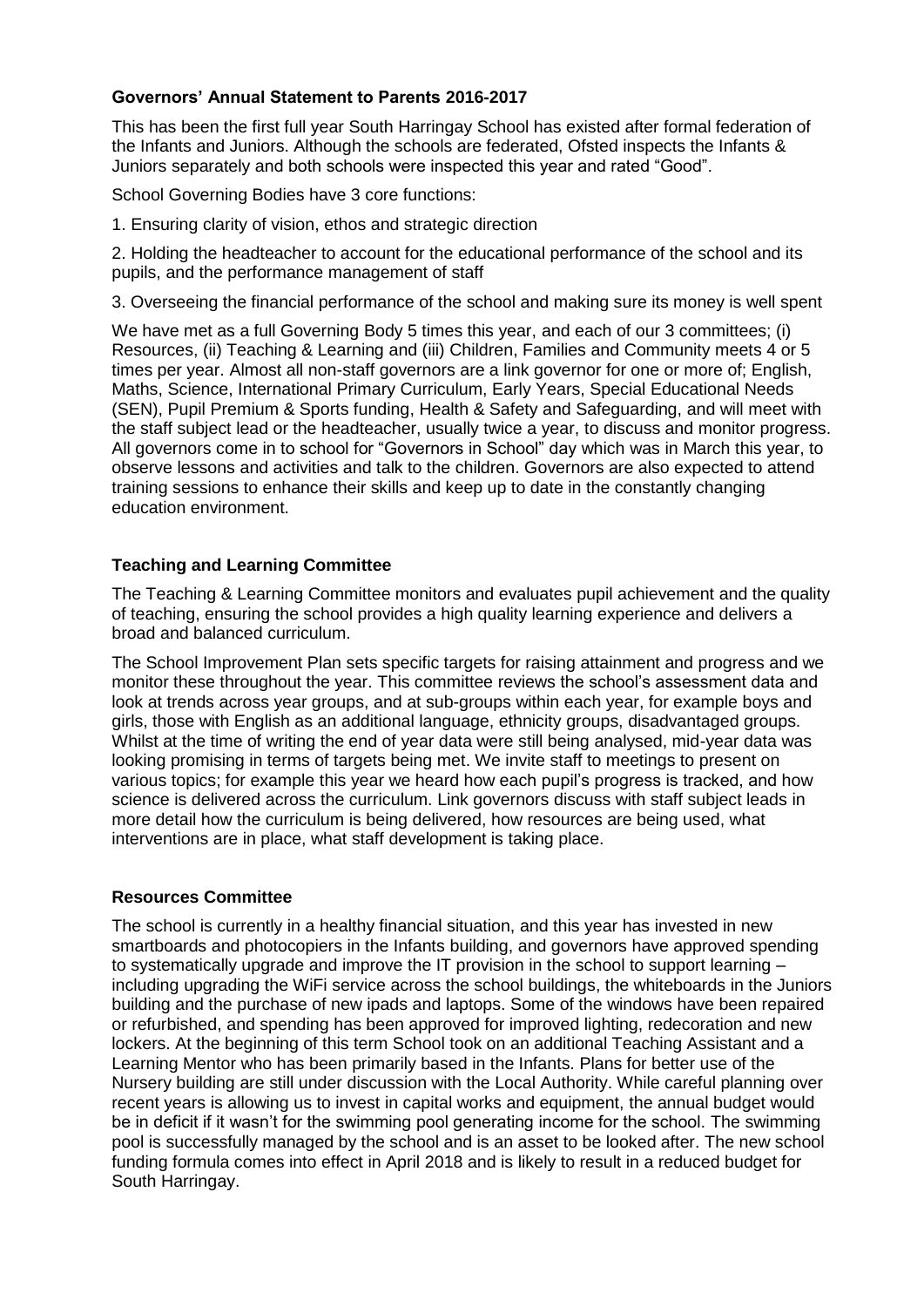## **Governors' Annual Statement to Parents 2016-2017**

This has been the first full year South Harringay School has existed after formal federation of the Infants and Juniors. Although the schools are federated, Ofsted inspects the Infants & Juniors separately and both schools were inspected this year and rated "Good".

School Governing Bodies have 3 core functions:

1. Ensuring clarity of vision, ethos and strategic direction

2. Holding the headteacher to account for the educational performance of the school and its pupils, and the performance management of staff

3. Overseeing the financial performance of the school and making sure its money is well spent

We have met as a full Governing Body 5 times this year, and each of our 3 committees; (i) Resources, (ii) Teaching & Learning and (iii) Children, Families and Community meets 4 or 5 times per year. Almost all non-staff governors are a link governor for one or more of; English, Maths, Science, International Primary Curriculum, Early Years, Special Educational Needs (SEN), Pupil Premium & Sports funding, Health & Safety and Safeguarding, and will meet with the staff subject lead or the headteacher, usually twice a year, to discuss and monitor progress. All governors come in to school for "Governors in School" day which was in March this year, to observe lessons and activities and talk to the children. Governors are also expected to attend training sessions to enhance their skills and keep up to date in the constantly changing education environment.

## **Teaching and Learning Committee**

The Teaching & Learning Committee monitors and evaluates pupil achievement and the quality of teaching, ensuring the school provides a high quality learning experience and delivers a broad and balanced curriculum.

The School Improvement Plan sets specific targets for raising attainment and progress and we monitor these throughout the year. This committee reviews the school's assessment data and look at trends across year groups, and at sub-groups within each year, for example boys and girls, those with English as an additional language, ethnicity groups, disadvantaged groups. Whilst at the time of writing the end of year data were still being analysed, mid-year data was looking promising in terms of targets being met. We invite staff to meetings to present on various topics; for example this year we heard how each pupil's progress is tracked, and how science is delivered across the curriculum. Link governors discuss with staff subject leads in more detail how the curriculum is being delivered, how resources are being used, what interventions are in place, what staff development is taking place.

### **Resources Committee**

The school is currently in a healthy financial situation, and this year has invested in new smartboards and photocopiers in the Infants building, and governors have approved spending to systematically upgrade and improve the IT provision in the school to support learning – including upgrading the WiFi service across the school buildings, the whiteboards in the Juniors building and the purchase of new ipads and laptops. Some of the windows have been repaired or refurbished, and spending has been approved for improved lighting, redecoration and new lockers. At the beginning of this term School took on an additional Teaching Assistant and a Learning Mentor who has been primarily based in the Infants. Plans for better use of the Nursery building are still under discussion with the Local Authority. While careful planning over recent years is allowing us to invest in capital works and equipment, the annual budget would be in deficit if it wasn't for the swimming pool generating income for the school. The swimming pool is successfully managed by the school and is an asset to be looked after. The new school funding formula comes into effect in April 2018 and is likely to result in a reduced budget for South Harringay.